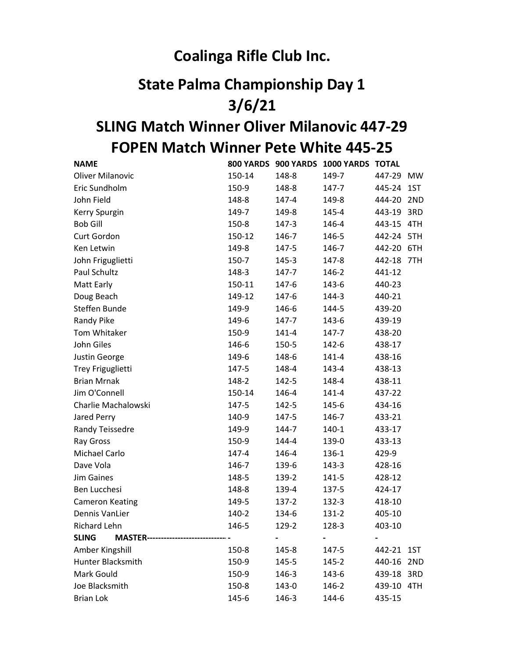## Coalinga Rifle Club Inc.

## State Palma Championship Day 1 3/6/21

## FOPEN Match Winner Pete White 445-25 SLING Match Winner Oliver Milanovic 447-29

| <b>NAME</b>                                               |        |           | 800 YARDS 900 YARDS 1000 YARDS TOTAL |            |  |
|-----------------------------------------------------------|--------|-----------|--------------------------------------|------------|--|
| <b>Oliver Milanovic</b>                                   | 150-14 | 148-8     | 149-7                                | 447-29 MW  |  |
| Eric Sundholm                                             | 150-9  | 148-8     | 147-7                                | 445-24 1ST |  |
| John Field                                                | 148-8  | 147-4     | 149-8                                | 444-20 2ND |  |
| Kerry Spurgin                                             | 149-7  | 149-8     | 145-4                                | 443-19 3RD |  |
| <b>Bob Gill</b>                                           | 150-8  | 147-3     | 146-4                                | 443-15 4TH |  |
| Curt Gordon                                               | 150-12 | 146-7     | 146-5                                | 442-24 5TH |  |
| Ken Letwin                                                | 149-8  | 147-5     | 146-7                                | 442-20 6TH |  |
| John Friguglietti                                         | 150-7  | 145-3     | 147-8                                | 442-18 7TH |  |
| Paul Schultz                                              | 148-3  | 147-7     | 146-2                                | 441-12     |  |
| Matt Early                                                | 150-11 | 147-6     | 143-6                                | 440-23     |  |
| Doug Beach                                                | 149-12 | 147-6     | 144-3                                | 440-21     |  |
| Steffen Bunde                                             | 149-9  | 146-6     | 144-5                                | 439-20     |  |
| Randy Pike                                                | 149-6  | 147-7     | 143-6                                | 439-19     |  |
| Tom Whitaker                                              | 150-9  | $141 - 4$ | 147-7                                | 438-20     |  |
| John Giles                                                | 146-6  | 150-5     | 142-6                                | 438-17     |  |
| Justin George                                             | 149-6  | 148-6     | $141 - 4$                            | 438-16     |  |
| Trey Friguglietti                                         | 147-5  | 148-4     | 143-4                                | 438-13     |  |
| <b>Brian Mrnak</b>                                        | 148-2  | 142-5     | 148-4                                | 438-11     |  |
| Jim O'Connell                                             | 150-14 | 146-4     | 141-4                                | 437-22     |  |
| Charlie Machalowski                                       | 147-5  | 142-5     | 145-6                                | 434-16     |  |
| Jared Perry                                               | 140-9  | 147-5     | 146-7                                | 433-21     |  |
| Randy Teissedre                                           | 149-9  | 144-7     | 140-1                                | 433-17     |  |
| Ray Gross                                                 | 150-9  | 144-4     | 139-0                                | 433-13     |  |
| Michael Carlo                                             | 147-4  | 146-4     | 136-1                                | 429-9      |  |
| Dave Vola                                                 | 146-7  | 139-6     | 143-3                                | 428-16     |  |
| <b>Jim Gaines</b>                                         | 148-5  | 139-2     | 141-5                                | 428-12     |  |
| Ben Lucchesi                                              | 148-8  | 139-4     | 137-5                                | 424-17     |  |
| <b>Cameron Keating</b>                                    | 149-5  | $137-2$   | 132-3                                | 418-10     |  |
| <b>Dennis VanLier</b>                                     | 140-2  | 134-6     | 131-2                                | 405-10     |  |
| Richard Lehn                                              | 146-5  | 129-2     | 128-3                                | 403-10     |  |
| <b>SLING</b><br><b>MASTER----------------------------</b> |        |           |                                      |            |  |
| Amber Kingshill                                           | 150-8  | 145-8     | 147-5                                | 442-21 1ST |  |
| Hunter Blacksmith                                         | 150-9  | 145-5     | 145-2                                | 440-16 2ND |  |
| Mark Gould                                                | 150-9  | 146-3     | 143-6                                | 439-18 3RD |  |
| Joe Blacksmith                                            | 150-8  | 143-0     | 146-2                                | 439-10 4TH |  |
| <b>Brian Lok</b>                                          | 145-6  | 146-3     | 144-6                                | 435-15     |  |